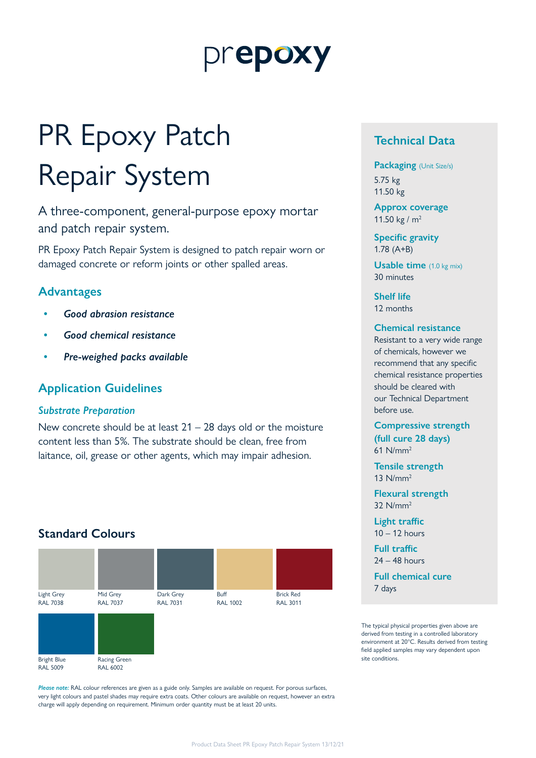# prepoxy

# PR Epoxy Patch Repair System

A three-component, general-purpose epoxy mortar and patch repair system.

PR Epoxy Patch Repair System is designed to patch repair worn or damaged concrete or reform joints or other spalled areas.

### **Advantages**

- *• Good abrasion resistance*
- *• Good chemical resistance*
- *• Pre-weighed packs available*

# **Application Guidelines**

#### *Substrate Preparation*

New concrete should be at least  $21 - 28$  days old or the moisture content less than 5%. The substrate should be clean, free from laitance, oil, grease or other agents, which may impair adhesion.

# **Standard Colours**



*Please note:* RAL colour references are given as a guide only. Samples are available on request. For porous surfaces, very light colours and pastel shades may require extra coats. Other colours are available on request, however an extra charge will apply depending on requirement. Minimum order quantity must be at least 20 units.

# **Technical Data**

**Packaging** (Unit Size/s) 5.75 kg

11.50 kg

**Approx coverage** 11.50 kg /  $m^2$ 

**Specific gravity** 1.78 (A+B)

**Usable time** (1.0 kg mix) 30 minutes

**Shelf life** 12 months

#### **Chemical resistance**

Resistant to a very wide range of chemicals, however we recommend that any specific chemical resistance properties should be cleared with our Technical Department before use.

**Compressive strength (full cure 28 days)** 61 N/mm2

**Tensile strength** 13 N/mm2

**Flexural strength** 32 N/mm2

**Light traffic** 10 – 12 hours

**Full traffic** 24 – 48 hours

**Full chemical cure** 7 days

The typical physical properties given above are derived from testing in a controlled laboratory environment at 20°C. Results derived from testing field applied samples may vary dependent upon site conditions.